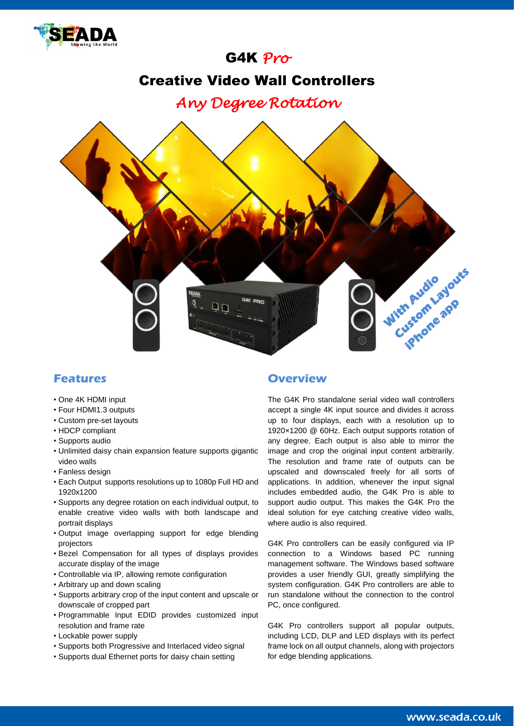

# G4K *Pro*

## Creative Video Wall Controllers

*Any Degree Rotation* 



### **Features**

- One 4K HDMI input
- Four HDMI1.3 outputs
- Custom pre-set layouts
- HDCP compliant
- Supports audio
- Unlimited daisy chain expansion feature supports gigantic video walls
- Fanless design
- Each Output supports resolutions up to 1080p Full HD and 1920x1200
- Supports any degree rotation on each individual output, to enable creative video walls with both landscape and portrait displays
- Output image overlapping support for edge blending projectors
- Bezel Compensation for all types of displays provides accurate display of the image
- Controllable via IP, allowing remote configuration
- Arbitrary up and down scaling
- Supports arbitrary crop of the input content and upscale or downscale of cropped part
- Programmable Input EDID provides customized input resolution and frame rate
- Lockable power supply
- Supports both Progressive and Interlaced video signal
- Supports dual Ethernet ports for daisy chain setting

#### **Overview**

The G4K Pro standalone serial video wall controllers accept a single 4K input source and divides it across up to four displays, each with a resolution up to 1920×1200 @ 60Hz. Each output supports rotation of any degree. Each output is also able to mirror the image and crop the original input content arbitrarily. The resolution and frame rate of outputs can be upscaled and downscaled freely for all sorts of applications. In addition, whenever the input signal includes embedded audio, the G4K Pro is able to support audio output. This makes the G4K Pro the ideal solution for eye catching creative video walls, where audio is also required.

G4K Pro controllers can be easily configured via IP connection to a Windows based PC running management software. The Windows based software provides a user friendly GUI, greatly simplifying the system configuration. G4K Pro controllers are able to run standalone without the connection to the control PC, once configured.

G4K Pro controllers support all popular outputs, including LCD, DLP and LED displays with its perfect frame lock on all output channels, along with projectors for edge blending applications.